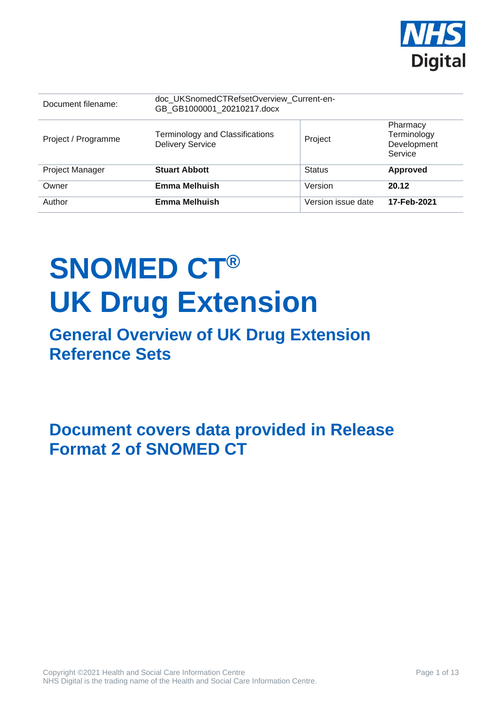

| Document filename:     | doc_UKSnomedCTRefsetOverview_Current-en-<br>GB GB1000001 20210217.docx |                    |                                                   |
|------------------------|------------------------------------------------------------------------|--------------------|---------------------------------------------------|
| Project / Programme    | <b>Terminology and Classifications</b><br><b>Delivery Service</b>      | Project            | Pharmacy<br>Terminology<br>Development<br>Service |
| <b>Project Manager</b> | <b>Stuart Abbott</b>                                                   | <b>Status</b>      | <b>Approved</b>                                   |
| Owner                  | <b>Emma Melhuish</b>                                                   | Version            | 20.12                                             |
| Author                 | <b>Emma Melhuish</b>                                                   | Version issue date | 17-Feb-2021                                       |

# **SNOMED CT® UK Drug Extension**

## **General Overview of UK Drug Extension Reference Sets**

**Document covers data provided in Release Format 2 of SNOMED CT**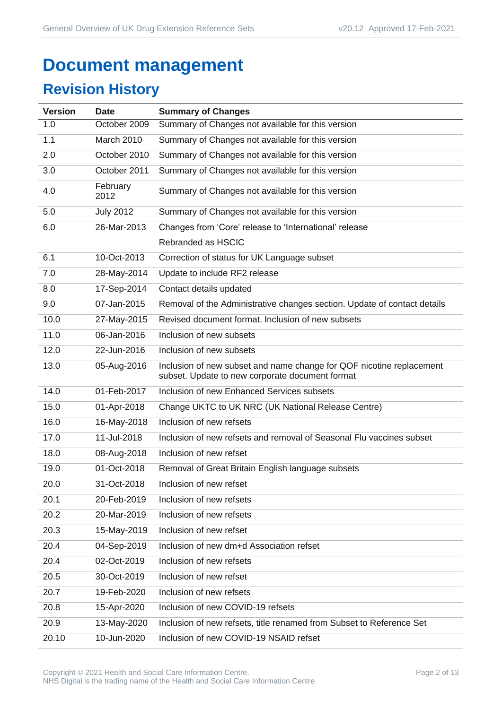## **Document management**

## **Revision History**

| <b>Version</b> | <b>Date</b>      | <b>Summary of Changes</b>                                                                                               |
|----------------|------------------|-------------------------------------------------------------------------------------------------------------------------|
| 1.0            | October 2009     | Summary of Changes not available for this version                                                                       |
| 1.1            | March 2010       | Summary of Changes not available for this version                                                                       |
| 2.0            | October 2010     | Summary of Changes not available for this version                                                                       |
| 3.0            | October 2011     | Summary of Changes not available for this version                                                                       |
| 4.0            | February<br>2012 | Summary of Changes not available for this version                                                                       |
| 5.0            | <b>July 2012</b> | Summary of Changes not available for this version                                                                       |
| 6.0            | 26-Mar-2013      | Changes from 'Core' release to 'International' release                                                                  |
|                |                  | Rebranded as HSCIC                                                                                                      |
| 6.1            | 10-Oct-2013      | Correction of status for UK Language subset                                                                             |
| 7.0            | 28-May-2014      | Update to include RF2 release                                                                                           |
| 8.0            | 17-Sep-2014      | Contact details updated                                                                                                 |
| 9.0            | 07-Jan-2015      | Removal of the Administrative changes section. Update of contact details                                                |
| 10.0           | 27-May-2015      | Revised document format. Inclusion of new subsets                                                                       |
| 11.0           | 06-Jan-2016      | Inclusion of new subsets                                                                                                |
| 12.0           | 22-Jun-2016      | Inclusion of new subsets                                                                                                |
| 13.0           | 05-Aug-2016      | Inclusion of new subset and name change for QOF nicotine replacement<br>subset. Update to new corporate document format |
| 14.0           | 01-Feb-2017      | Inclusion of new Enhanced Services subsets                                                                              |
| 15.0           | 01-Apr-2018      | Change UKTC to UK NRC (UK National Release Centre)                                                                      |
| 16.0           | 16-May-2018      | Inclusion of new refsets                                                                                                |
| 17.0           | 11-Jul-2018      | Inclusion of new refsets and removal of Seasonal Flu vaccines subset                                                    |
| 18.0           | 08-Aug-2018      | Inclusion of new refset                                                                                                 |
| 19.0           | 01-Oct-2018      | Removal of Great Britain English language subsets                                                                       |
| 20.0           | 31-Oct-2018      | Inclusion of new refset                                                                                                 |
| 20.1           | 20-Feb-2019      | Inclusion of new refsets                                                                                                |
| 20.2           | 20-Mar-2019      | Inclusion of new refsets                                                                                                |
| 20.3           | 15-May-2019      | Inclusion of new refset                                                                                                 |
| 20.4           | 04-Sep-2019      | Inclusion of new dm+d Association refset                                                                                |
| 20.4           | 02-Oct-2019      | Inclusion of new refsets                                                                                                |
| 20.5           | 30-Oct-2019      | Inclusion of new refset                                                                                                 |
| 20.7           | 19-Feb-2020      | Inclusion of new refsets                                                                                                |
| 20.8           | 15-Apr-2020      | Inclusion of new COVID-19 refsets                                                                                       |
| 20.9           | 13-May-2020      | Inclusion of new refsets, title renamed from Subset to Reference Set                                                    |
| 20.10          | 10-Jun-2020      | Inclusion of new COVID-19 NSAID refset                                                                                  |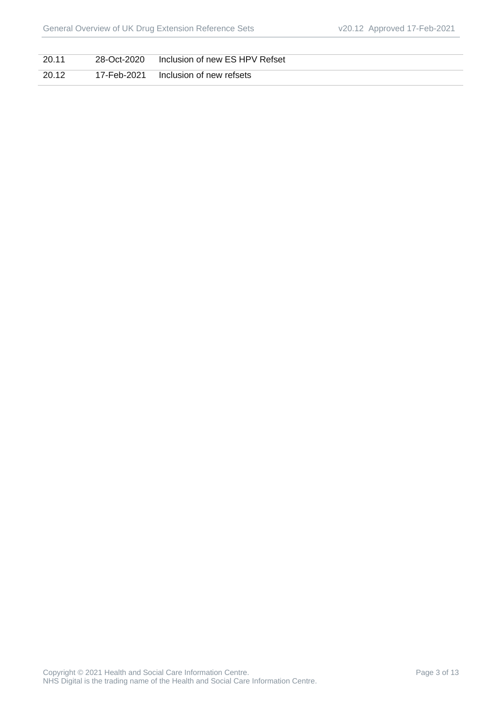| 20.11 | 28-Oct-2020 | Inclusion of new ES HPV Refset |
|-------|-------------|--------------------------------|
| 20.12 | 17-Feb-2021 | Inclusion of new refsets       |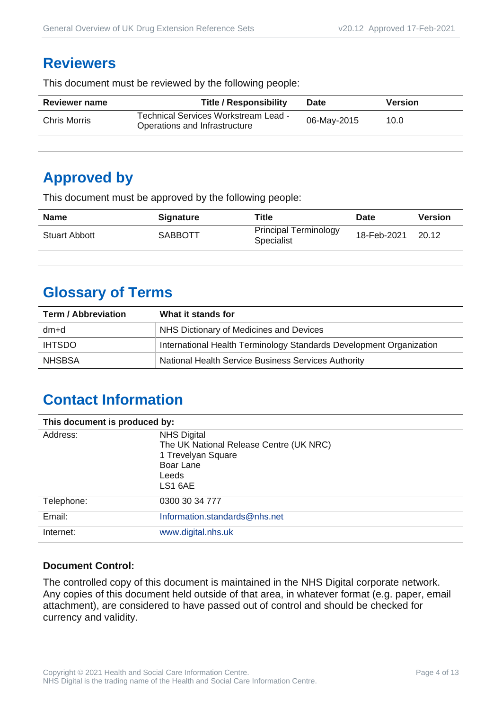#### **Reviewers**

This document must be reviewed by the following people:

| <b>Reviewer name</b> | <b>Title / Responsibility</b>                                         | <b>Date</b> | <b>Version</b> |  |
|----------------------|-----------------------------------------------------------------------|-------------|----------------|--|
| Chris Morris         | Technical Services Workstream Lead -<br>Operations and Infrastructure | 06-May-2015 | 10.0           |  |
|                      |                                                                       |             |                |  |

#### **Approved by**

This document must be approved by the following people:

| <b>Name</b>          | <b>Signature</b> | <b>Title</b>                                      | <b>Date</b> | <b>Version</b> |
|----------------------|------------------|---------------------------------------------------|-------------|----------------|
| <b>Stuart Abbott</b> | SABBOTT          | <b>Principal Terminology</b><br><b>Specialist</b> | 18-Feb-2021 | 20.12          |

## **Glossary of Terms**

| <b>Term / Abbreviation</b> | What it stands for                                                  |  |
|----------------------------|---------------------------------------------------------------------|--|
| dm+d                       | NHS Dictionary of Medicines and Devices                             |  |
| <b>IHTSDO</b>              | International Health Terminology Standards Development Organization |  |
| <b>NHSBSA</b>              | National Health Service Business Services Authority                 |  |

## **Contact Information**

| This document is produced by: |                                                                                                                      |  |
|-------------------------------|----------------------------------------------------------------------------------------------------------------------|--|
| Address:                      | <b>NHS Digital</b><br>The UK National Release Centre (UK NRC)<br>1 Trevelyan Square<br>Boar Lane<br>Leeds<br>LS1 6AE |  |
| Telephone:                    | 0300 30 34 777                                                                                                       |  |
| Email:                        | Information.standards@nhs.net                                                                                        |  |
| Internet:                     | www.digital.nhs.uk                                                                                                   |  |

#### **Document Control:**

The controlled copy of this document is maintained in the NHS Digital corporate network. Any copies of this document held outside of that area, in whatever format (e.g. paper, email attachment), are considered to have passed out of control and should be checked for currency and validity.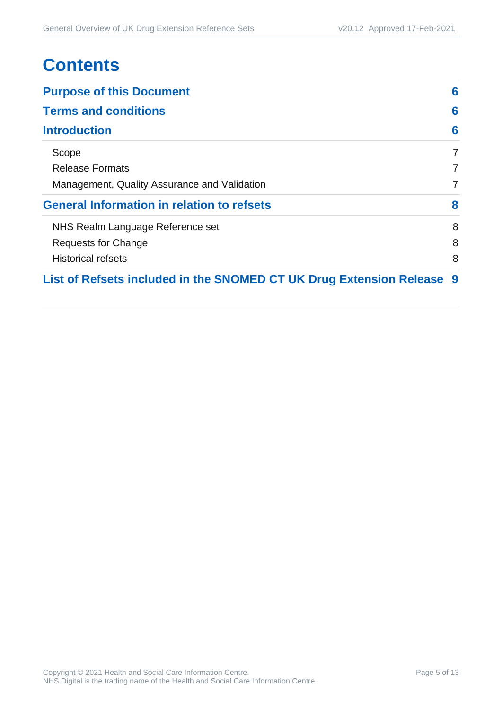## **Contents**

| <b>Purpose of this Document</b>                                     |                |
|---------------------------------------------------------------------|----------------|
| <b>Terms and conditions</b>                                         | 6              |
| <b>Introduction</b>                                                 | 6              |
| Scope                                                               | 7              |
| <b>Release Formats</b>                                              | 7              |
| Management, Quality Assurance and Validation                        | $\overline{7}$ |
| <b>General Information in relation to refsets</b>                   | 8              |
| NHS Realm Language Reference set                                    | 8              |
| Requests for Change                                                 | 8              |
| <b>Historical refsets</b>                                           | 8              |
| List of Refsets included in the SNOMED CT UK Drug Extension Release | - 9            |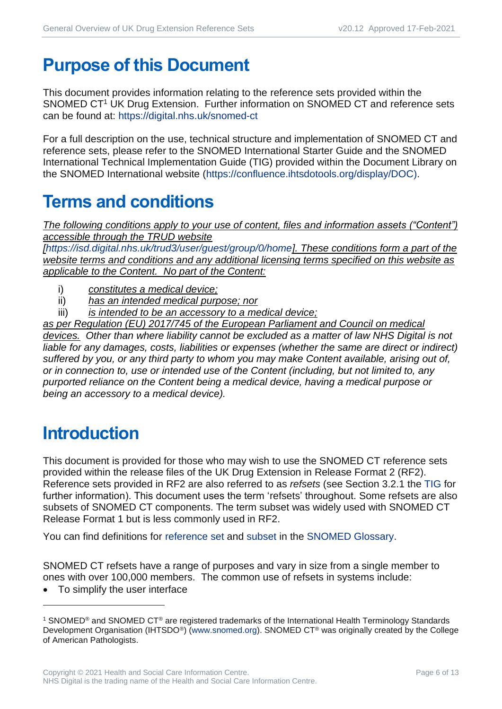## <span id="page-5-0"></span>**Purpose of this Document**

This document provides information relating to the reference sets provided within the SNOMED CT<sup>1</sup> UK Drug Extension. Further information on SNOMED CT and reference sets can be found at:<https://digital.nhs.uk/snomed-ct>

For a full description on the use, technical structure and implementation of SNOMED CT and reference sets, please refer to the SNOMED International Starter Guide and the SNOMED International Technical Implementation Guide (TIG) provided within the Document Library on the SNOMED International website [\(https://confluence.ihtsdotools.org/display/DOC\)](https://confluence.ihtsdotools.org/display/DOC).

## <span id="page-5-1"></span>**Terms and conditions**

*The following conditions apply to your use of content, files and information assets ("Content") accessible through the TRUD website* 

*[\[https://isd.digital.nhs.uk/trud3/user/guest/group/0/home\]](https://isd.digital.nhs.uk/trud3/user/guest/group/0/home). These conditions form a part of the website terms and conditions and any additional licensing terms specified on this website as applicable to the Content. No part of the Content:*

- i) *constitutes a medical device;*
- ii) *has an intended medical purpose; nor*
- iii) *is intended to be an accessory to a medical device;*

*as per Regulation (EU) 2017/745 of the European Parliament and Council on medical devices. Other than where liability cannot be excluded as a matter of law NHS Digital is not liable for any damages, costs, liabilities or expenses (whether the same are direct or indirect) suffered by you, or any third party to whom you may make Content available, arising out of, or in connection to, use or intended use of the Content (including, but not limited to, any purported reliance on the Content being a medical device, having a medical purpose or being an accessory to a medical device).*

## <span id="page-5-2"></span>**Introduction**

This document is provided for those who may wish to use the SNOMED CT reference sets provided within the release files of the UK Drug Extension in Release Format 2 (RF2). Reference sets provided in RF2 are also referred to as *refsets* (see Section 3.2.1 the [TIG](http://snomed.org/tig) for further information). This document uses the term 'refsets' throughout. Some refsets are also subsets of SNOMED CT components. The term subset was widely used with SNOMED CT Release Format 1 but is less commonly used in RF2.

You can find definitions for [reference set](https://confluence.ihtsdotools.org/display/DOCGLOSS/reference+set) and [subset](https://confluence.ihtsdotools.org/display/DOCGLOSS/subset) in the [SNOMED Glossary.](http://snomed.org/gl)

SNOMED CT refsets have a range of purposes and vary in size from a single member to ones with over 100,000 members. The common use of refsets in systems include:

To simplify the user interface

<sup>1</sup> SNOMED® and SNOMED CT® are registered trademarks of the International Health Terminology Standards Development Organisation (IHTSDO<sup>®</sup>) [\(www.snomed.org\)](http://www.snomed.org/). SNOMED CT<sup>®</sup> was originally created by the College of American Pathologists.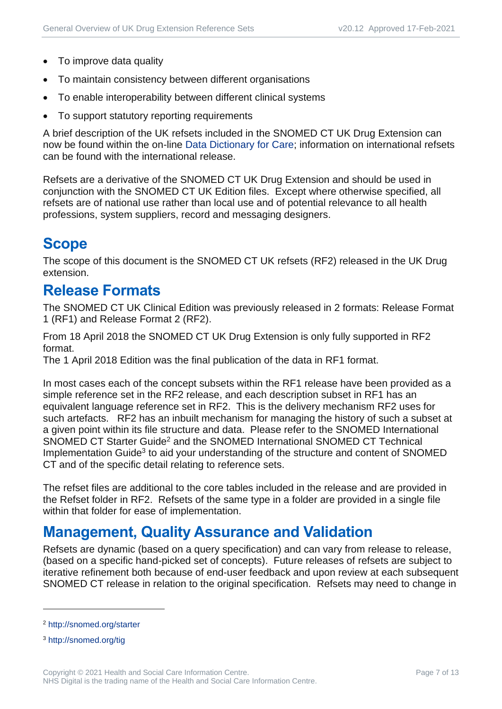- To improve data quality
- To maintain consistency between different organisations
- To enable interoperability between different clinical systems
- To support statutory reporting requirements

A brief description of the UK refsets included in the SNOMED CT UK Drug Extension can now be found within the on-line [Data Dictionary for Care;](https://dd4c.digital.nhs.uk/dd4c/) information on international refsets can be found with the international release.

Refsets are a derivative of the SNOMED CT UK Drug Extension and should be used in conjunction with the SNOMED CT UK Edition files. Except where otherwise specified, all refsets are of national use rather than local use and of potential relevance to all health professions, system suppliers, record and messaging designers.

### <span id="page-6-0"></span>**Scope**

The scope of this document is the SNOMED CT UK refsets (RF2) released in the UK Drug extension.

#### <span id="page-6-1"></span>**Release Formats**

The SNOMED CT UK Clinical Edition was previously released in 2 formats: Release Format 1 (RF1) and Release Format 2 (RF2).

From 18 April 2018 the SNOMED CT UK Drug Extension is only fully supported in RF2 format.

The 1 April 2018 Edition was the final publication of the data in RF1 format.

In most cases each of the concept subsets within the RF1 release have been provided as a simple reference set in the RF2 release, and each description subset in RF1 has an equivalent language reference set in RF2. This is the delivery mechanism RF2 uses for such artefacts. RF2 has an inbuilt mechanism for managing the history of such a subset at a given point within its file structure and data. Please refer to the SNOMED International SNOMED CT Starter Guide<sup>2</sup> and the SNOMED International SNOMED CT Technical Implementation Guide<sup>3</sup> to aid your understanding of the structure and content of SNOMED CT and of the specific detail relating to reference sets.

The refset files are additional to the core tables included in the release and are provided in the Refset folder in RF2. Refsets of the same type in a folder are provided in a single file within that folder for ease of implementation.

### <span id="page-6-2"></span>**Management, Quality Assurance and Validation**

Refsets are dynamic (based on a query specification) and can vary from release to release, (based on a specific hand-picked set of concepts). Future releases of refsets are subject to iterative refinement both because of end-user feedback and upon review at each subsequent SNOMED CT release in relation to the original specification. Refsets may need to change in

<sup>2</sup> <http://snomed.org/starter>

<sup>3</sup> <http://snomed.org/tig>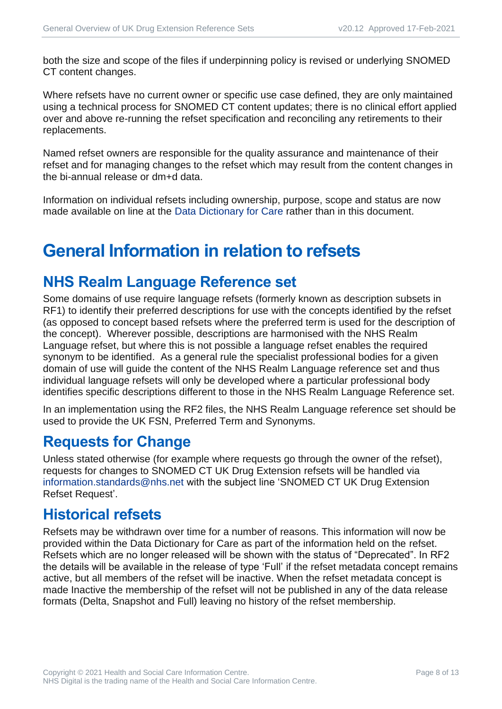both the size and scope of the files if underpinning policy is revised or underlying SNOMED CT content changes.

Where refsets have no current owner or specific use case defined, they are only maintained using a technical process for SNOMED CT content updates; there is no clinical effort applied over and above re-running the refset specification and reconciling any retirements to their replacements.

Named refset owners are responsible for the quality assurance and maintenance of their refset and for managing changes to the refset which may result from the content changes in the bi-annual release or dm+d data.

Information on individual refsets including ownership, purpose, scope and status are now made available on line at the [Data Dictionary for Care](https://dd4c.digital.nhs.uk/dd4c/) rather than in this document.

## <span id="page-7-0"></span>**General Information in relation to refsets**

#### <span id="page-7-1"></span>**NHS Realm Language Reference set**

Some domains of use require language refsets (formerly known as description subsets in RF1) to identify their preferred descriptions for use with the concepts identified by the refset (as opposed to concept based refsets where the preferred term is used for the description of the concept). Wherever possible, descriptions are harmonised with the NHS Realm Language refset, but where this is not possible a language refset enables the required synonym to be identified. As a general rule the specialist professional bodies for a given domain of use will guide the content of the NHS Realm Language reference set and thus individual language refsets will only be developed where a particular professional body identifies specific descriptions different to those in the NHS Realm Language Reference set.

In an implementation using the RF2 files, the NHS Realm Language reference set should be used to provide the UK FSN, Preferred Term and Synonyms.

#### <span id="page-7-2"></span>**Requests for Change**

Unless stated otherwise (for example where requests go through the owner of the refset), requests for changes to SNOMED CT UK Drug Extension refsets will be handled via [information.standards@nhs.net](mailto:information.standards@nhs.net) with the subject line 'SNOMED CT UK Drug Extension Refset Request'.

#### <span id="page-7-3"></span>**Historical refsets**

Refsets may be withdrawn over time for a number of reasons. This information will now be provided within the Data Dictionary for Care as part of the information held on the refset. Refsets which are no longer released will be shown with the status of "Deprecated". In RF2 the details will be available in the release of type 'Full' if the refset metadata concept remains active, but all members of the refset will be inactive. When the refset metadata concept is made Inactive the membership of the refset will not be published in any of the data release formats (Delta, Snapshot and Full) leaving no history of the refset membership.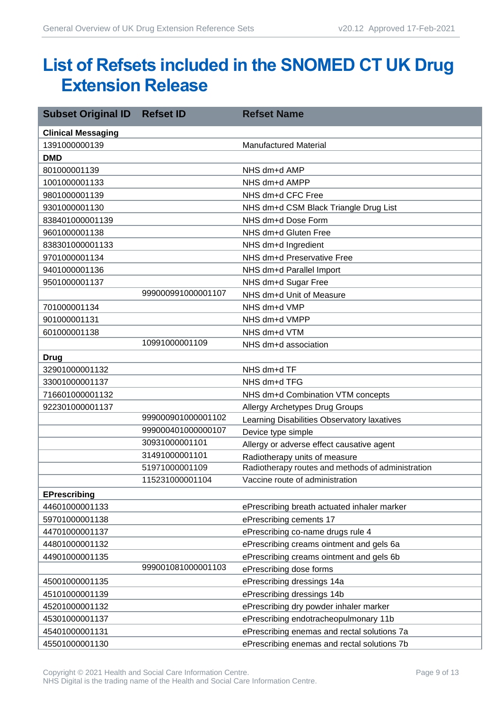## <span id="page-8-0"></span>**List of Refsets included in the SNOMED CT UK Drug Extension Release**

| <b>Subset Original ID</b> | <b>Refset ID</b>   | <b>Refset Name</b>                                |
|---------------------------|--------------------|---------------------------------------------------|
| <b>Clinical Messaging</b> |                    |                                                   |
| 1391000000139             |                    | <b>Manufactured Material</b>                      |
| <b>DMD</b>                |                    |                                                   |
| 801000001139              |                    | NHS dm+d AMP                                      |
| 1001000001133             |                    | NHS dm+d AMPP                                     |
| 9801000001139             |                    | NHS dm+d CFC Free                                 |
| 9301000001130             |                    | NHS dm+d CSM Black Triangle Drug List             |
| 838401000001139           |                    | NHS dm+d Dose Form                                |
| 9601000001138             |                    | NHS dm+d Gluten Free                              |
| 838301000001133           |                    | NHS dm+d Ingredient                               |
| 9701000001134             |                    | NHS dm+d Preservative Free                        |
| 9401000001136             |                    | NHS dm+d Parallel Import                          |
| 9501000001137             |                    | NHS dm+d Sugar Free                               |
|                           | 999000991000001107 | NHS dm+d Unit of Measure                          |
| 701000001134              |                    | NHS dm+d VMP                                      |
| 901000001131              |                    | NHS dm+d VMPP                                     |
| 601000001138              |                    | NHS dm+d VTM                                      |
|                           | 10991000001109     | NHS dm+d association                              |
| <b>Drug</b>               |                    |                                                   |
| 32901000001132            |                    | NHS dm+d TF                                       |
| 33001000001137            |                    | NHS dm+d TFG                                      |
| 716601000001132           |                    | NHS dm+d Combination VTM concepts                 |
| 922301000001137           |                    | <b>Allergy Archetypes Drug Groups</b>             |
|                           | 999000901000001102 | Learning Disabilities Observatory laxatives       |
|                           | 999000401000000107 | Device type simple                                |
|                           | 30931000001101     | Allergy or adverse effect causative agent         |
|                           | 31491000001101     | Radiotherapy units of measure                     |
|                           | 51971000001109     | Radiotherapy routes and methods of administration |
|                           | 115231000001104    | Vaccine route of administration                   |
| <b>EPrescribing</b>       |                    |                                                   |
| 44601000001133            |                    | ePrescribing breath actuated inhaler marker       |
| 59701000001138            |                    | ePrescribing cements 17                           |
| 44701000001137            |                    | ePrescribing co-name drugs rule 4                 |
| 44801000001132            |                    | ePrescribing creams ointment and gels 6a          |
| 44901000001135            |                    | ePrescribing creams ointment and gels 6b          |
|                           | 999001081000001103 | ePrescribing dose forms                           |
| 45001000001135            |                    | ePrescribing dressings 14a                        |
| 45101000001139            |                    | ePrescribing dressings 14b                        |
| 45201000001132            |                    | ePrescribing dry powder inhaler marker            |
| 45301000001137            |                    | ePrescribing endotracheopulmonary 11b             |
| 45401000001131            |                    | ePrescribing enemas and rectal solutions 7a       |
| 45501000001130            |                    | ePrescribing enemas and rectal solutions 7b       |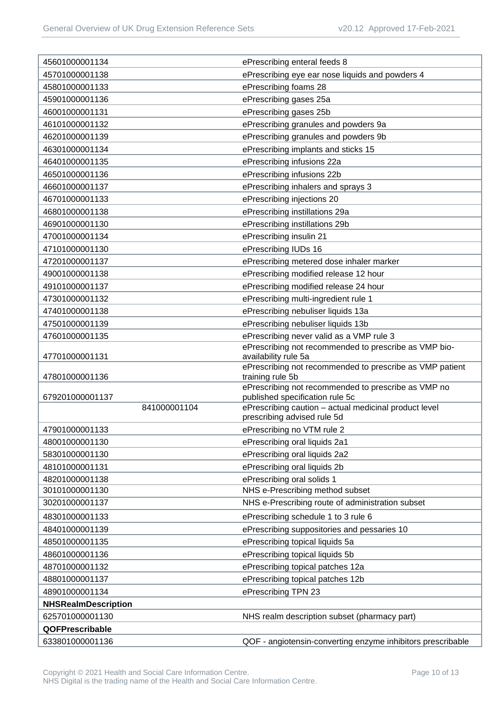| 45601000001134             | ePrescribing enteral feeds 8                                                         |
|----------------------------|--------------------------------------------------------------------------------------|
| 45701000001138             | ePrescribing eye ear nose liquids and powders 4                                      |
| 45801000001133             | ePrescribing foams 28                                                                |
| 45901000001136             | ePrescribing gases 25a                                                               |
| 46001000001131             | ePrescribing gases 25b                                                               |
| 46101000001132             | ePrescribing granules and powders 9a                                                 |
| 46201000001139             | ePrescribing granules and powders 9b                                                 |
| 46301000001134             | ePrescribing implants and sticks 15                                                  |
| 46401000001135             | ePrescribing infusions 22a                                                           |
| 46501000001136             | ePrescribing infusions 22b                                                           |
| 46601000001137             | ePrescribing inhalers and sprays 3                                                   |
| 46701000001133             | ePrescribing injections 20                                                           |
| 46801000001138             | ePrescribing instillations 29a                                                       |
| 46901000001130             | ePrescribing instillations 29b                                                       |
| 47001000001134             | ePrescribing insulin 21                                                              |
| 47101000001130             | ePrescribing IUDs 16                                                                 |
| 47201000001137             | ePrescribing metered dose inhaler marker                                             |
| 49001000001138             | ePrescribing modified release 12 hour                                                |
| 49101000001137             | ePrescribing modified release 24 hour                                                |
| 47301000001132             | ePrescribing multi-ingredient rule 1                                                 |
| 47401000001138             | ePrescribing nebuliser liquids 13a                                                   |
| 47501000001139             | ePrescribing nebuliser liquids 13b                                                   |
| 47601000001135             | ePrescribing never valid as a VMP rule 3                                             |
|                            | ePrescribing not recommended to prescribe as VMP bio-                                |
| 47701000001131             | availability rule 5a<br>ePrescribing not recommended to prescribe as VMP patient     |
| 47801000001136             | training rule 5b                                                                     |
|                            | ePrescribing not recommended to prescribe as VMP no                                  |
| 679201000001137            | published specification rule 5c                                                      |
| 841000001104               | ePrescribing caution - actual medicinal product level<br>prescribing advised rule 5d |
| 47901000001133             | ePrescribing no VTM rule 2                                                           |
| 48001000001130             | ePrescribing oral liquids 2a1                                                        |
| 58301000001130             | ePrescribing oral liquids 2a2                                                        |
| 48101000001131             | ePrescribing oral liquids 2b                                                         |
| 48201000001138             | ePrescribing oral solids 1                                                           |
| 30101000001130             | NHS e-Prescribing method subset                                                      |
| 30201000001137             | NHS e-Prescribing route of administration subset                                     |
| 48301000001133             | ePrescribing schedule 1 to 3 rule 6                                                  |
| 48401000001139             | ePrescribing suppositories and pessaries 10                                          |
| 48501000001135             | ePrescribing topical liquids 5a                                                      |
| 48601000001136             | ePrescribing topical liquids 5b                                                      |
| 48701000001132             | ePrescribing topical patches 12a                                                     |
| 48801000001137             | ePrescribing topical patches 12b                                                     |
| 48901000001134             | ePrescribing TPN 23                                                                  |
| <b>NHSRealmDescription</b> |                                                                                      |
| 625701000001130            | NHS realm description subset (pharmacy part)                                         |
| QOFPrescribable            |                                                                                      |
| 633801000001136            | QOF - angiotensin-converting enzyme inhibitors prescribable                          |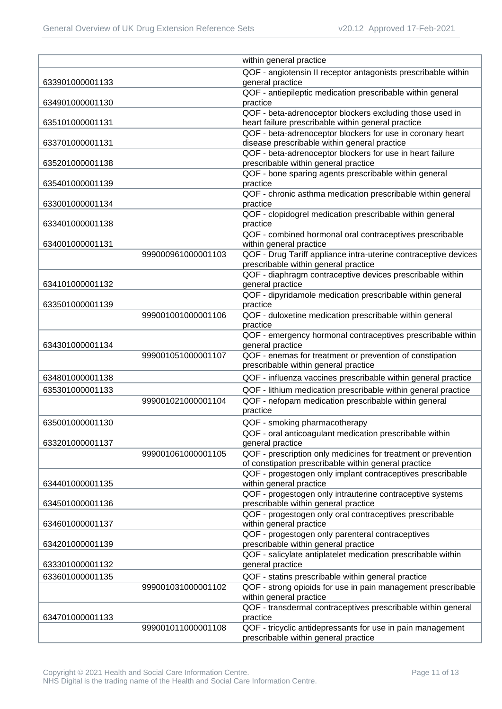|                 |                    | within general practice                                                                                               |
|-----------------|--------------------|-----------------------------------------------------------------------------------------------------------------------|
|                 |                    | QOF - angiotensin II receptor antagonists prescribable within                                                         |
| 633901000001133 |                    | general practice                                                                                                      |
| 634901000001130 |                    | QOF - antiepileptic medication prescribable within general<br>practice                                                |
|                 |                    | QOF - beta-adrenoceptor blockers excluding those used in                                                              |
| 635101000001131 |                    | heart failure prescribable within general practice                                                                    |
|                 |                    | QOF - beta-adrenoceptor blockers for use in coronary heart                                                            |
| 633701000001131 |                    | disease prescribable within general practice                                                                          |
|                 |                    | QOF - beta-adrenoceptor blockers for use in heart failure                                                             |
| 635201000001138 |                    | prescribable within general practice                                                                                  |
| 635401000001139 |                    | QOF - bone sparing agents prescribable within general<br>practice                                                     |
|                 |                    | QOF - chronic asthma medication prescribable within general                                                           |
| 633001000001134 |                    | practice                                                                                                              |
|                 |                    | QOF - clopidogrel medication prescribable within general                                                              |
| 633401000001138 |                    | practice                                                                                                              |
|                 |                    | QOF - combined hormonal oral contraceptives prescribable                                                              |
| 634001000001131 |                    | within general practice                                                                                               |
|                 | 999000961000001103 | QOF - Drug Tariff appliance intra-uterine contraceptive devices                                                       |
|                 |                    | prescribable within general practice                                                                                  |
| 634101000001132 |                    | QOF - diaphragm contraceptive devices prescribable within<br>general practice                                         |
|                 |                    | QOF - dipyridamole medication prescribable within general                                                             |
| 633501000001139 |                    | practice                                                                                                              |
|                 | 999001001000001106 | QOF - duloxetine medication prescribable within general                                                               |
|                 |                    | practice                                                                                                              |
|                 |                    | QOF - emergency hormonal contraceptives prescribable within                                                           |
| 634301000001134 |                    | general practice                                                                                                      |
|                 | 999001051000001107 | QOF - enemas for treatment or prevention of constipation                                                              |
|                 |                    | prescribable within general practice                                                                                  |
| 634801000001138 |                    | QOF - influenza vaccines prescribable within general practice                                                         |
| 635301000001133 | 999001021000001104 | QOF - lithium medication prescribable within general practice<br>QOF - nefopam medication prescribable within general |
|                 |                    | practice                                                                                                              |
| 635001000001130 |                    | QOF - smoking pharmacotherapy                                                                                         |
|                 |                    | QOF - oral anticoagulant medication prescribable within                                                               |
| 633201000001137 |                    | general practice                                                                                                      |
|                 | 999001061000001105 | QOF - prescription only medicines for treatment or prevention                                                         |
|                 |                    | of constipation prescribable within general practice                                                                  |
|                 |                    | QOF - progestogen only implant contraceptives prescribable                                                            |
| 634401000001135 |                    | within general practice                                                                                               |
|                 |                    | QOF - progestogen only intrauterine contraceptive systems                                                             |
| 634501000001136 |                    | prescribable within general practice<br>QOF - progestogen only oral contraceptives prescribable                       |
| 634601000001137 |                    | within general practice                                                                                               |
|                 |                    | QOF - progestogen only parenteral contraceptives                                                                      |
| 634201000001139 |                    | prescribable within general practice                                                                                  |
|                 |                    | QOF - salicylate antiplatelet medication prescribable within                                                          |
| 633301000001132 |                    | general practice                                                                                                      |
| 633601000001135 |                    | QOF - statins prescribable within general practice                                                                    |
|                 | 999001031000001102 | QOF - strong opioids for use in pain management prescribable                                                          |
|                 |                    | within general practice                                                                                               |
|                 |                    | QOF - transdermal contraceptives prescribable within general                                                          |
| 634701000001133 | 999001011000001108 | practice<br>QOF - tricyclic antidepressants for use in pain management                                                |
|                 |                    | prescribable within general practice                                                                                  |
|                 |                    |                                                                                                                       |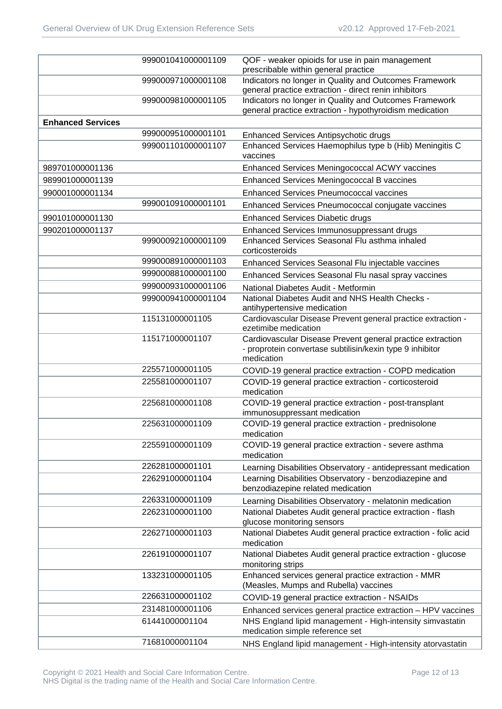|                          | 999001041000001109 | QOF - weaker opioids for use in pain management<br>prescribable within general practice                                               |
|--------------------------|--------------------|---------------------------------------------------------------------------------------------------------------------------------------|
|                          | 999000971000001108 | Indicators no longer in Quality and Outcomes Framework<br>general practice extraction - direct renin inhibitors                       |
|                          | 999000981000001105 | Indicators no longer in Quality and Outcomes Framework<br>general practice extraction - hypothyroidism medication                     |
| <b>Enhanced Services</b> |                    |                                                                                                                                       |
|                          | 999000951000001101 | Enhanced Services Antipsychotic drugs                                                                                                 |
|                          | 999001101000001107 | Enhanced Services Haemophilus type b (Hib) Meningitis C<br>vaccines                                                                   |
| 989701000001136          |                    | Enhanced Services Meningococcal ACWY vaccines                                                                                         |
| 989901000001139          |                    | Enhanced Services Meningococcal B vaccines                                                                                            |
| 990001000001134          |                    | <b>Enhanced Services Pneumococcal vaccines</b>                                                                                        |
|                          | 999001091000001101 | Enhanced Services Pneumococcal conjugate vaccines                                                                                     |
| 990101000001130          |                    | <b>Enhanced Services Diabetic drugs</b>                                                                                               |
| 990201000001137          |                    | Enhanced Services Immunosuppressant drugs                                                                                             |
|                          | 999000921000001109 | Enhanced Services Seasonal Flu asthma inhaled                                                                                         |
|                          |                    | corticosteroids                                                                                                                       |
|                          | 999000891000001103 | Enhanced Services Seasonal Flu injectable vaccines                                                                                    |
|                          | 999000881000001100 | Enhanced Services Seasonal Flu nasal spray vaccines                                                                                   |
|                          | 999000931000001106 | National Diabetes Audit - Metformin                                                                                                   |
|                          | 999000941000001104 | National Diabetes Audit and NHS Health Checks -                                                                                       |
|                          |                    | antihypertensive medication                                                                                                           |
|                          | 115131000001105    | Cardiovascular Disease Prevent general practice extraction -<br>ezetimibe medication                                                  |
|                          | 115171000001107    | Cardiovascular Disease Prevent general practice extraction<br>- proprotein convertase subtilisin/kexin type 9 inhibitor<br>medication |
|                          | 225571000001105    | COVID-19 general practice extraction - COPD medication                                                                                |
|                          | 225581000001107    | COVID-19 general practice extraction - corticosteroid<br>medication                                                                   |
|                          | 225681000001108    | COVID-19 general practice extraction - post-transplant<br>immunosuppressant medication                                                |
|                          | 225631000001109    | COVID-19 general practice extraction - prednisolone<br>medication                                                                     |
|                          | 225591000001109    | COVID-19 general practice extraction - severe asthma<br>medication                                                                    |
|                          | 226281000001101    | Learning Disabilities Observatory - antidepressant medication                                                                         |
|                          | 226291000001104    | Learning Disabilities Observatory - benzodiazepine and<br>benzodiazepine related medication                                           |
|                          | 226331000001109    | Learning Disabilities Observatory - melatonin medication                                                                              |
|                          | 226231000001100    | National Diabetes Audit general practice extraction - flash<br>glucose monitoring sensors                                             |
|                          | 226271000001103    | National Diabetes Audit general practice extraction - folic acid<br>medication                                                        |
|                          | 226191000001107    | National Diabetes Audit general practice extraction - glucose<br>monitoring strips                                                    |
|                          | 133231000001105    | Enhanced services general practice extraction - MMR<br>(Measles, Mumps and Rubella) vaccines                                          |
|                          | 226631000001102    | COVID-19 general practice extraction - NSAIDs                                                                                         |
|                          | 231481000001106    | Enhanced services general practice extraction - HPV vaccines                                                                          |
|                          | 61441000001104     | NHS England lipid management - High-intensity simvastatin<br>medication simple reference set                                          |
|                          | 71681000001104     | NHS England lipid management - High-intensity atorvastatin                                                                            |
|                          |                    |                                                                                                                                       |